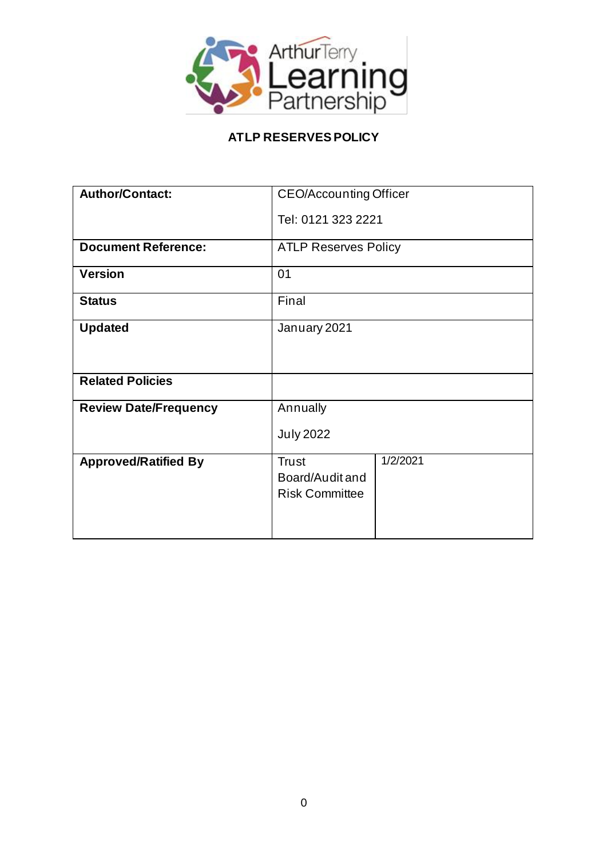

# **ATLP RESERVESPOLICY**

| <b>Author/Contact:</b>       | <b>CEO/Accounting Officer</b>                                        |
|------------------------------|----------------------------------------------------------------------|
|                              | Tel: 0121 323 2221                                                   |
| <b>Document Reference:</b>   | <b>ATLP Reserves Policy</b>                                          |
| <b>Version</b>               | 01                                                                   |
| <b>Status</b>                | Final                                                                |
| <b>Updated</b>               | January 2021                                                         |
| <b>Related Policies</b>      |                                                                      |
| <b>Review Date/Frequency</b> | Annually                                                             |
|                              | <b>July 2022</b>                                                     |
| <b>Approved/Ratified By</b>  | 1/2/2021<br><b>Trust</b><br>Board/Audit and<br><b>Risk Committee</b> |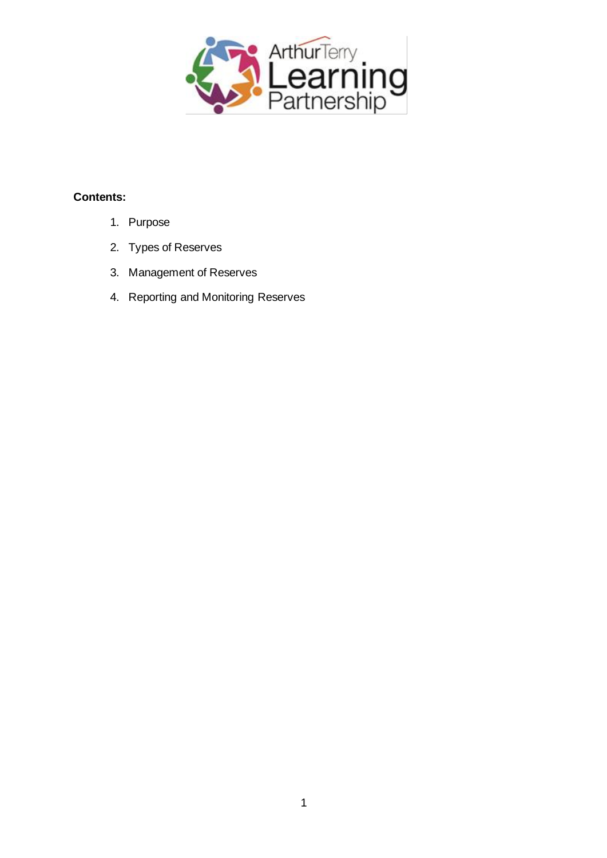

#### **Contents:**

- 1. Purpose
- 2. Types of Reserves
- 3. Management of Reserves
- 4. Reporting and Monitoring Reserves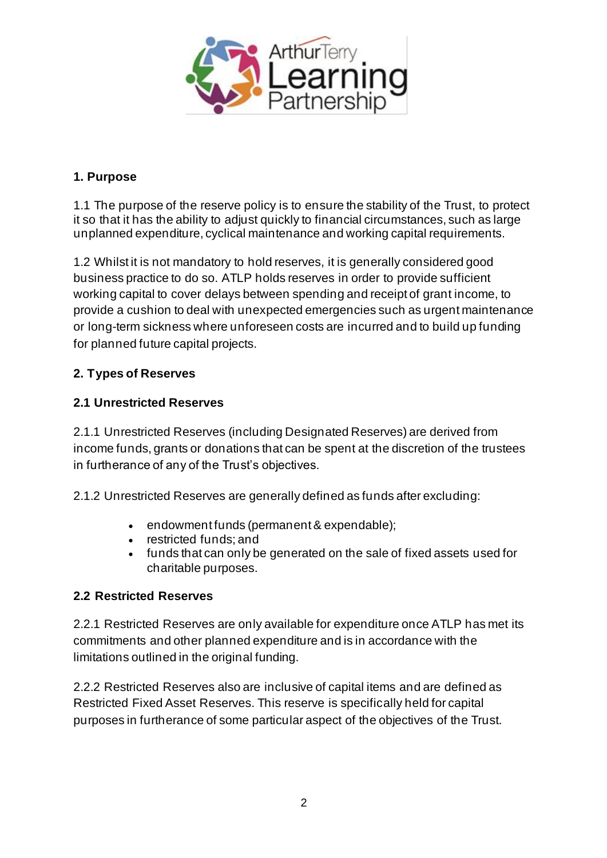

### **1. Purpose**

1.1 The purpose of the reserve policy is to ensure the stability of the Trust, to protect it so that it has the ability to adjust quickly to financial circumstances, such as large unplanned expenditure, cyclical maintenance and working capital requirements.

1.2 Whilst it is not mandatory to hold reserves, it is generally considered good business practice to do so. ATLP holds reserves in order to provide sufficient working capital to cover delays between spending and receipt of grant income, to provide a cushion to deal with unexpected emergencies such as urgent maintenance or long-term sickness where unforeseen costs are incurred and to build up funding for planned future capital projects.

## **2. Types of Reserves**

### **2.1 Unrestricted Reserves**

2.1.1 Unrestricted Reserves (including Designated Reserves) are derived from income funds, grants or donations that can be spent at the discretion of the trustees in furtherance of any of the Trust's objectives.

2.1.2 Unrestricted Reserves are generally defined as funds after excluding:

- endowment funds (permanent & expendable);
- restricted funds; and
- funds that can only be generated on the sale of fixed assets used for charitable purposes.

### **2.2 Restricted Reserves**

2.2.1 Restricted Reserves are only available for expenditure once ATLP has met its commitments and other planned expenditure and is in accordance with the limitations outlined in the original funding.

2.2.2 Restricted Reserves also are inclusive of capital items and are defined as Restricted Fixed Asset Reserves. This reserve is specifically held for capital purposes in furtherance of some particular aspect of the objectives of the Trust.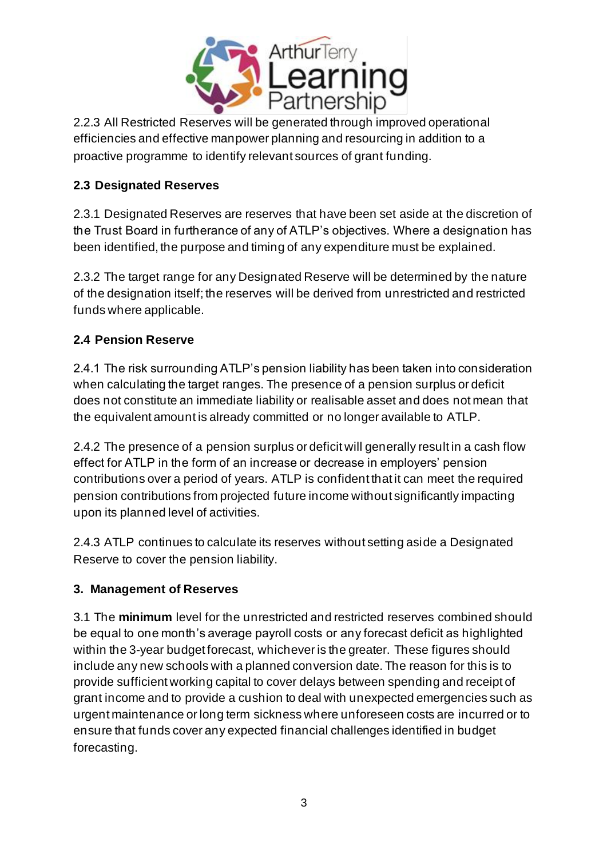

2.2.3 All Restricted Reserves will be generated through improved operational efficiencies and effective manpower planning and resourcing in addition to a proactive programme to identify relevant sources of grant funding.

## **2.3 Designated Reserves**

2.3.1 Designated Reserves are reserves that have been set aside at the discretion of the Trust Board in furtherance of any of ATLP's objectives. Where a designation has been identified, the purpose and timing of any expenditure must be explained.

2.3.2 The target range for any Designated Reserve will be determined by the nature of the designation itself; the reserves will be derived from unrestricted and restricted funds where applicable.

## **2.4 Pension Reserve**

2.4.1 The risk surrounding ATLP's pension liability has been taken into consideration when calculating the target ranges. The presence of a pension surplus or deficit does not constitute an immediate liability or realisable asset and does not mean that the equivalent amount is already committed or no longer available to ATLP.

2.4.2 The presence of a pension surplus or deficit will generally result in a cash flow effect for ATLP in the form of an increase or decrease in employers' pension contributions over a period of years. ATLP is confident that it can meet the required pension contributions from projected future income without significantly impacting upon its planned level of activities.

2.4.3 ATLP continues to calculate its reserves without setting aside a Designated Reserve to cover the pension liability.

## **3. Management of Reserves**

3.1 The **minimum** level for the unrestricted and restricted reserves combined should be equal to one month's average payroll costs or any forecast deficit as highlighted within the 3-year budget forecast, whichever is the greater. These figures should include any new schools with a planned conversion date. The reason for this is to provide sufficient working capital to cover delays between spending and receipt of grant income and to provide a cushion to deal with unexpected emergencies such as urgent maintenance or long term sickness where unforeseen costs are incurred or to ensure that funds cover any expected financial challenges identified in budget forecasting.